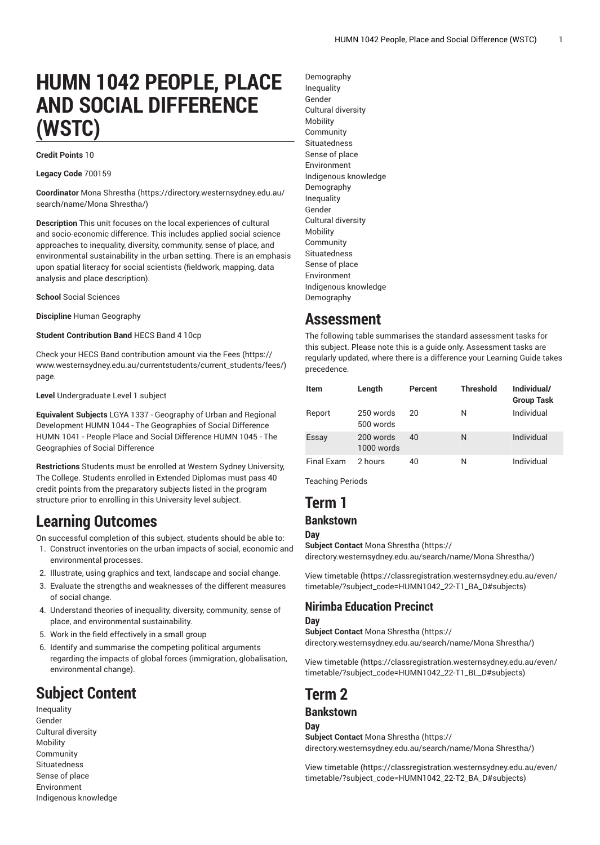# **HUMN 1042 PEOPLE, PLACE AND SOCIAL DIFFERENCE (WSTC)**

#### **Credit Points** 10

**Legacy Code** 700159

**Coordinator** Mona [Shrestha](https://directory.westernsydney.edu.au/search/name/Mona Shrestha/) ([https://directory.westernsydney.edu.au/](https://directory.westernsydney.edu.au/search/name/Mona Shrestha/) [search/name/Mona](https://directory.westernsydney.edu.au/search/name/Mona Shrestha/) Shrestha/)

**Description** This unit focuses on the local experiences of cultural and socio-economic difference. This includes applied social science approaches to inequality, diversity, community, sense of place, and environmental sustainability in the urban setting. There is an emphasis upon spatial literacy for social scientists (fieldwork, mapping, data analysis and place description).

**School** Social Sciences

**Discipline** Human Geography

**Student Contribution Band** HECS Band 4 10cp

Check your HECS Band contribution amount via the [Fees \(https://](https://www.westernsydney.edu.au/currentstudents/current_students/fees/) [www.westernsydney.edu.au/currentstudents/current\\_students/fees/\)](https://www.westernsydney.edu.au/currentstudents/current_students/fees/) page.

**Level** Undergraduate Level 1 subject

**Equivalent Subjects** LGYA 1337 - Geography of Urban and Regional Development HUMN 1044 - The Geographies of Social Difference [HUMN 1041](/search/?P=HUMN%201041) - People Place and Social Difference HUMN 1045 - The Geographies of Social Difference

**Restrictions** Students must be enrolled at Western Sydney University, The College. Students enrolled in Extended Diplomas must pass 40 credit points from the preparatory subjects listed in the program structure prior to enrolling in this University level subject.

# **Learning Outcomes**

On successful completion of this subject, students should be able to:

- 1. Construct inventories on the urban impacts of social, economic and environmental processes.
- 2. Illustrate, using graphics and text, landscape and social change.
- 3. Evaluate the strengths and weaknesses of the different measures of social change.
- 4. Understand theories of inequality, diversity, community, sense of place, and environmental sustainability.
- 5. Work in the field effectively in a small group
- 6. Identify and summarise the competing political arguments regarding the impacts of global forces (immigration, globalisation, environmental change).

# **Subject Content**

Inequality Gender Cultural diversity Mobility Community Situatedness Sense of place Environment Indigenous knowledge Demography Inequality Gender Cultural diversity Mobility Community Situatedness Sense of place Environment Indigenous knowledge Demography Inequality Gender Cultural diversity Mobility Community Situatedness Sense of place Environment Indigenous knowledge Demography

## **Assessment**

The following table summarises the standard assessment tasks for this subject. Please note this is a guide only. Assessment tasks are regularly updated, where there is a difference your Learning Guide takes precedence.

| Item       | Length                  | Percent | <b>Threshold</b> | Individual/<br><b>Group Task</b> |
|------------|-------------------------|---------|------------------|----------------------------------|
| Report     | 250 words<br>500 words  | 20      | N                | Individual                       |
| Essay      | 200 words<br>1000 words | 40      | N                | Individual                       |
| Final Fxam | 2 hours                 | 40      | N                | Individual                       |

Teaching Periods

### **Term 1 Bankstown**

### **Day**

**Subject Contact** Mona [Shrestha](https://directory.westernsydney.edu.au/search/name/Mona Shrestha/) [\(https://](https://directory.westernsydney.edu.au/search/name/Mona Shrestha/) [directory.westernsydney.edu.au/search/name/Mona](https://directory.westernsydney.edu.au/search/name/Mona Shrestha/) Shrestha/)

[View timetable](https://classregistration.westernsydney.edu.au/even/timetable/?subject_code=HUMN1042_22-T1_BA_D#subjects) [\(https://classregistration.westernsydney.edu.au/even/](https://classregistration.westernsydney.edu.au/even/timetable/?subject_code=HUMN1042_22-T1_BA_D#subjects) [timetable/?subject\\_code=HUMN1042\\_22-T1\\_BA\\_D#subjects\)](https://classregistration.westernsydney.edu.au/even/timetable/?subject_code=HUMN1042_22-T1_BA_D#subjects)

#### **Nirimba Education Precinct**

**Day**

**Subject Contact** Mona [Shrestha](https://directory.westernsydney.edu.au/search/name/Mona Shrestha/) [\(https://](https://directory.westernsydney.edu.au/search/name/Mona Shrestha/) [directory.westernsydney.edu.au/search/name/Mona](https://directory.westernsydney.edu.au/search/name/Mona Shrestha/) Shrestha/)

[View timetable](https://classregistration.westernsydney.edu.au/even/timetable/?subject_code=HUMN1042_22-T1_BL_D#subjects) [\(https://classregistration.westernsydney.edu.au/even/](https://classregistration.westernsydney.edu.au/even/timetable/?subject_code=HUMN1042_22-T1_BL_D#subjects) [timetable/?subject\\_code=HUMN1042\\_22-T1\\_BL\\_D#subjects\)](https://classregistration.westernsydney.edu.au/even/timetable/?subject_code=HUMN1042_22-T1_BL_D#subjects)

## **Term 2**

#### **Bankstown**

**Day**

**Subject Contact** Mona [Shrestha](https://directory.westernsydney.edu.au/search/name/Mona Shrestha/) [\(https://](https://directory.westernsydney.edu.au/search/name/Mona Shrestha/) [directory.westernsydney.edu.au/search/name/Mona](https://directory.westernsydney.edu.au/search/name/Mona Shrestha/) Shrestha/)

[View timetable](https://classregistration.westernsydney.edu.au/even/timetable/?subject_code=HUMN1042_22-T2_BA_D#subjects) [\(https://classregistration.westernsydney.edu.au/even/](https://classregistration.westernsydney.edu.au/even/timetable/?subject_code=HUMN1042_22-T2_BA_D#subjects) [timetable/?subject\\_code=HUMN1042\\_22-T2\\_BA\\_D#subjects\)](https://classregistration.westernsydney.edu.au/even/timetable/?subject_code=HUMN1042_22-T2_BA_D#subjects)